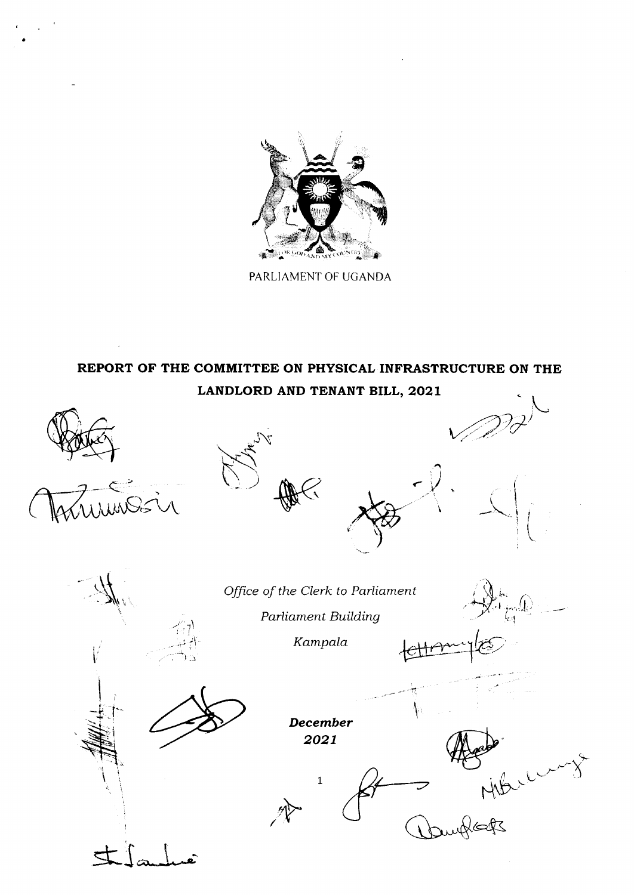

PARLIAMENT OF UGANDA

# REPORT OF THE COMMITTEE ON PHYSICAL INFRASTRUCTURE ON THE LANDLORD AND TENANT BILL, 2021

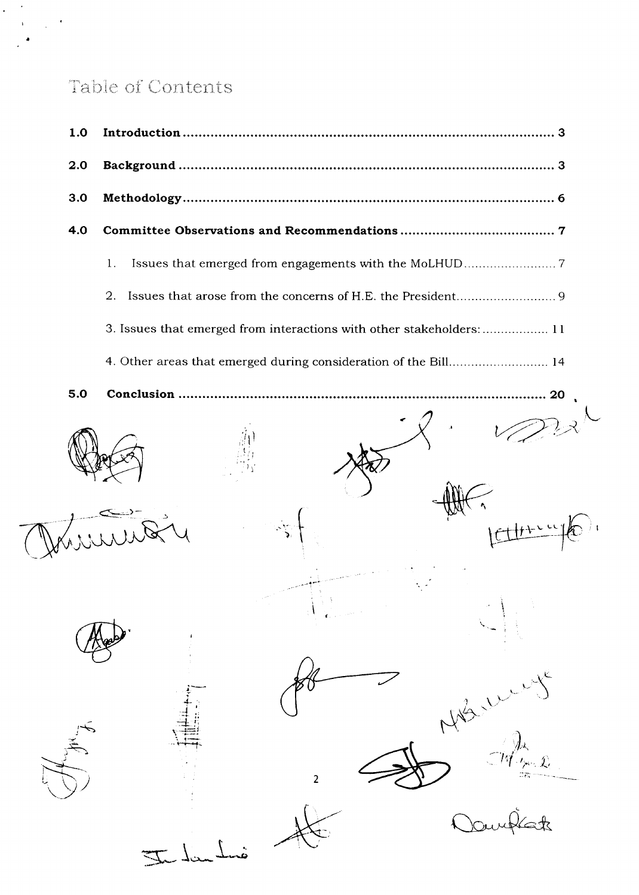# Table of Contents

 $\mathbf{r}$ 

 $\mathbf{r}$ 

 $\mathcal{A}$ 

 $\mathcal{L}_{\mathcal{L}}$ 

| 1.0 |                                                                       |
|-----|-----------------------------------------------------------------------|
| 2.0 |                                                                       |
| 3.0 |                                                                       |
| 4.0 |                                                                       |
|     | 1.                                                                    |
|     | 2.                                                                    |
|     | 3. Issues that emerged from interactions with other stakeholders:  11 |
|     | 4. Other areas that emerged during consideration of the Bill 14       |
| 5.0 |                                                                       |
|     |                                                                       |
|     | $\overline{2}$                                                        |
|     |                                                                       |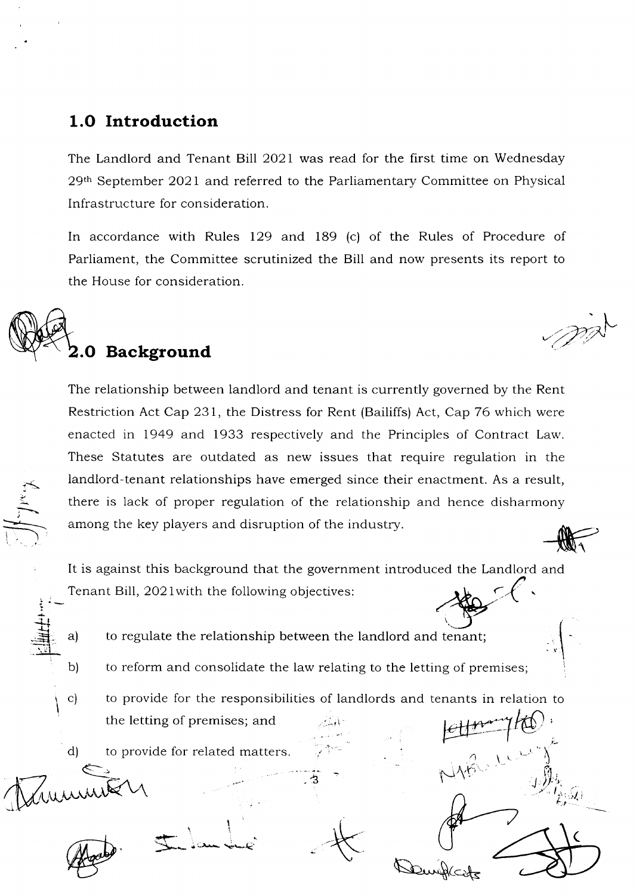# 1.O Introduction

The Landlord and Tenant Bill 2021 was read for the first time on Wednesday 29th September 2O2l and referred to the Parliamentary Committee on Physical <sup>I</sup>nfrastructure for consideration.

In accordance with Rules 129 and 189 (c) of the Rules of Procedure of Parliament, the Committee scrutinized the Bill and now presents its report to the House for consideration.



ji t I

> $\ddot{+}$ -Li ् $\equiv$ ा .. .,1

> > b)

 $\,$ c $)$ \

 $\int_{\mathbb{R}^2}$  $\mathbf{I}$ 

-1

The relationship between landlord and tenant is currently governed by the Rent Restriction Act Cap 231, the Distress for Rent (Bailiffs) Act, Cap 76 which were enacted in 1949 and 1933 respectively and the Principles of Contract Law. These Statutes are outdated as new issues that require regulation in the landlord-tenant relationships have emerged since their enactment. As a result, there is lack of proper regulation of the relationship and hence disharmony among the key players and disruption of the industry.  $\frac{1}{\sqrt{2}}$ 

It is against this background that the governmen t introduced the Landlord and Tenant Bill,  $2021$  with the following objectives:

- a) to regulate the relationship between the landlord and tenant;
	- to reform and consolidate the law relating to the letting of premises;

- - 1' .a

to provide for the responsibilities of landlords and tenants in relation to the letting of premises; and @

t-

f

t-. , ,

 $\overline{\mathbf{C}}$ 

 $\cup$   $\langle \cdot \rangle$ .i i',1  $4\mathscr{Y}_1^{\star}$ ,  $\mathscr{L}^{\alpha}_{I_{\infty},\mathcal{G}}$ 

 $\mathcal{Q} \cup \mathcal{Q}$ 

 $\sim$ 

Denibles

d) to provide for related matters

I

 $j$  (in )  $\sim$ 

 $\sum$ 

,.,)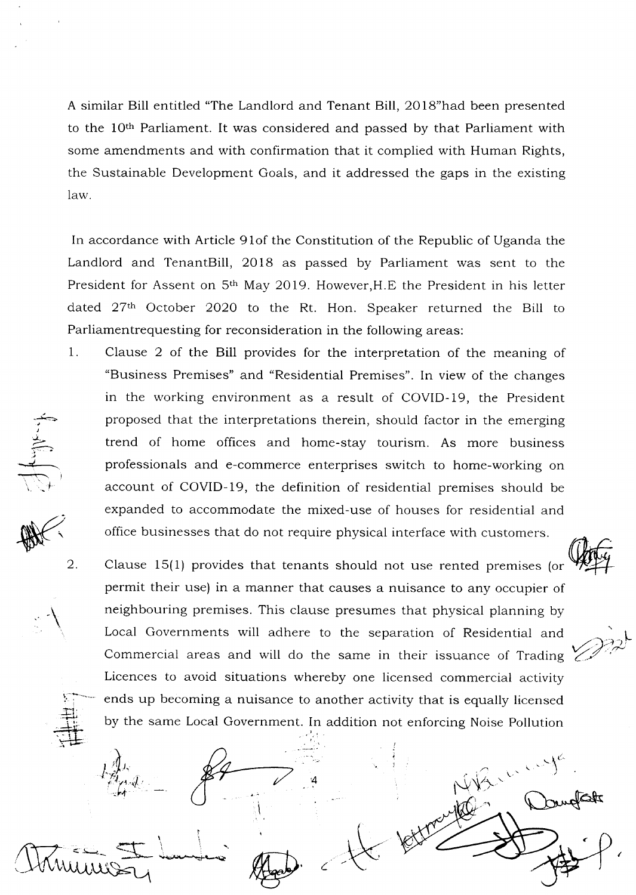A similar Bill entitled "The Landlord and Tenant Bill,2OlS"had been presented to the loth Parliament. It was considered and passed by that Parliament with some amendments and with confirmation that it complied with Human Rights, the Sustainable Development Goals, and it addressed the gaps in the existing law.

In accordance with Article 91of the Constitution of the Republic of Uganda the Landlord and TenantBill, 2018 as passed by Parliament was sent to the President for Assent on 5<sup>th</sup> May 2019. However, H.E the President in his letter dated 27th October 2O2O to the Rt. Hon. Speaker returned the Bill to Parliamentrequesting for reconsideration in the following areas:

1. Clause 2 of the Bill provides for the interpretation of the meaning of "Business Premises" and "Residential Premises". In view of the changes in the working environment as a result of COVID-19, the President proposed that the interpretations therein, should factor in the emerging trend of home offices and home-stay tourism. As more business professionals and e-commerce enterprises switch to home-working on account of COVID-19, the definition of residential premises should be expanded to accommodate the mixed-use of houses for residential and office businesses that do not require physical interface with customers.

يكب J  $\Leftarrow$ 

 $\mathbb{R}^2$ 

 $\left\langle \right\rangle$ 

.<br><u>म</u>

 $t_{\rm m}^{\prime\prime\prime}$  $\mathcal{L}_t$ 

I

بنى تعلى بمستريبة وسد  $= \pm$  landing  $\pi$ 

 $\mathcal{J}$  ,  $\mathcal{J}$  ,  $\mathcal{J}$  ,  $\mathcal{J}$  ,  $\mathcal{J}$  ,  $\mathcal{J}$  ,  $\mathcal{J}$  ,  $\mathcal{J}$ 

I I

\

2. 1.-:"\*\*-  $\frac{1}{\sqrt{1}}$ Clause 15(1) provides that tenants should not use rented premises (or permit their use) in a manner that causes a nuisance to any occupier of neighbouring premises. This clause presumes that physical planning by Local Governments will adhere to the separation of Residential and Commercial areas and will do the same in their issuance of Trading Licences to avoid situations whereby one licensed commercial activity ends up becoming a nuisance to another activity that is equally licensed by the same Local Government. In addition not enforcing Noise Pollution

 $\mathscr{D}^\mathbb{R}$ 

a

-  $\sim$ 

t,  $\chi$   $\rightarrow$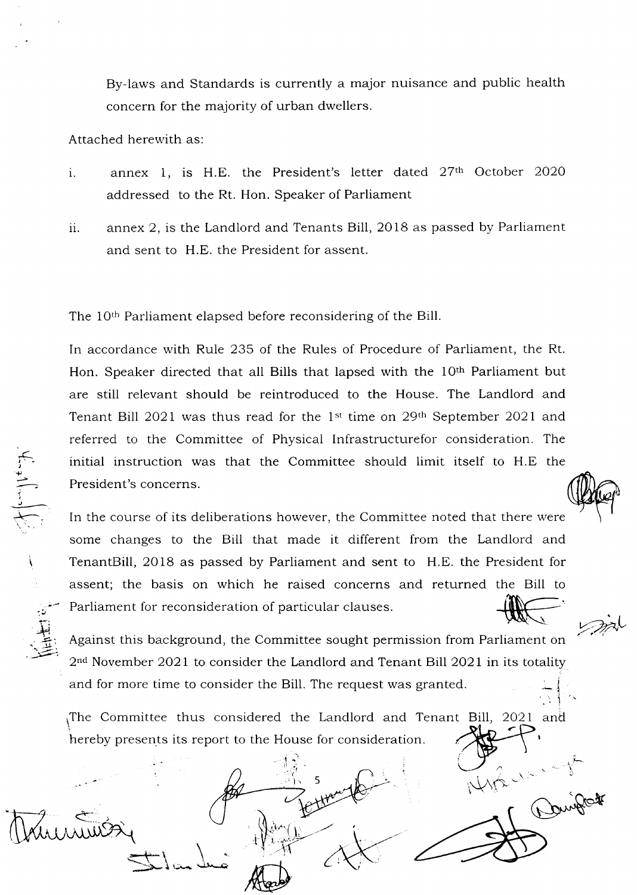By-laws and Standards is currently a major nuisance and public health concern for the majority of urban dwellers.

Attached herewith as

r<br>}<br>"

'+

 $\div$ 

 $\mathbf \zeta$ 

 $\Xi$ 

 $\overline{\mathcal{L}}$ 

- $\mathbf{i}$ . annex 1, is H.E. the President's letter dated 27<sup>th</sup> October 2020 addressed to the Rt. Hon. Speaker of Parliament
- $ii.$  annex 2, is the Landlord and Tenants Bill, 2018 as passed by Parliament and sent to H.E. the President for assent.

The 10<sup>th</sup> Parliament elapsed before reconsidering of the Bill.

In accordance with Rule 235 of the Rules of Procedure of Parliament, the Rt. Hon. Speaker directed that all Bills that lapsed with the 10<sup>th</sup> Parliament but are still relevant should be reintroduced to the House. The Landlord and Tenant Bill 2021 was thus read for the 1<sup>st</sup> time on 29<sup>th</sup> September 2021 and referred to the Committee of Physical Infrastructurefor consideration. The initial instruction was that the Committee should limit itself to H.E the President's concerns.

In the course of its deliberations however, the Committee noted that there were some changes to the Bill that made it different from the Landlord and TenantBill, 2O18 as passed by Parliament and sent to H.E. the President for assent; the basis on which he raised concerns and returned the Bill to Parliament for reconsideration of particular clauses.

Against this background, the Committee sought permission from Parliament on  $2<sup>nd</sup>$  November 2021 to consider the Landlord and Tenant Bill 2021 in its totality and for more time to consider the Bill. The request was granted.  $\mathbf{r}$ 

The Committee thus considered the Landlord and Tenant Bill, 2021 and hereby presents its report to the House for consideration

5

1r

l.

Algado

:I

\" يستعلانية

 $\implies$ i $\sim$ 



 $\ddot{\phantom{0}}$ 

March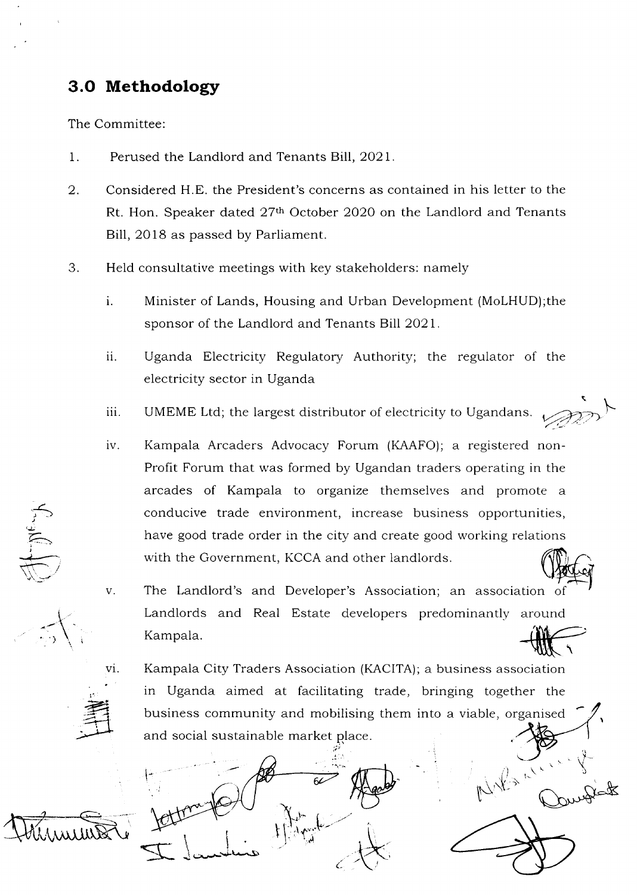# 3.O Methodology

The Committee:

- 1. Perused the Landlord and Tenants Bill, 2O2L
- 2 Considered H.E. the President's concerns as contained in his letter to the Rt. Hon. Speaker dated 27th October 2O2O on the Landlord and Tenants Bill, 2018 as passed by Parliament.
- 3. Held consultative meetings with key stakeholders: namely
	- Minister of Lands, Housing and Urban Development (MoLHUD);the sponsor of the Landlord and Tenants Bill 2021. 1.
	- ii. Uganda Electricity Regulatory Authority; the regulator of the electricity sector in Uganda
	- iii. UMEME Ltd; the largest distributor of electricity to Ugandans.
	- iv. Kampala Arcaders Advocacy Forum (KAAFO); a registered non-Profit Forum that was formed by Ugandan traders operating in the arcades of Kampala to organize themselves and promote <sup>a</sup> conducive trade environment, increase business opportunities, have good trade order in the city and create good working relations with the Government, KCCA and other landlords.
	- The Landlord's and Developer's Association; an association of Landlords and Real Estate developers predominantly around<br>
	Kampala.<br>
	Kampala City Traders Association (KACITA): a business association v Kampala
		- Kampala City Traders Association (KACITA); a business association in Uganda aimed at facilitating trade, bringing together the business community and mobilising them into a viable, organised and social sustainable market place

(  $t\int_{-1}^1 y^{\lambda} \, dx$ -' I  $\overline{\mathcal{A}}$  $\bar{\mathbf{I}}$  lauries t\*  $\bigoplus$ 

 $\mathbb{R}_{\mathbb{N}\mathbb{A}}$ 

 $\int_{\mathbb{R}^N} \kappa^V$ 

 $\overline{\phantom{a}}$ 

 $\overline{\mathcal{M}}$ 

 $\bigwedge^2$ 

\

 $\frac{1}{\sqrt{2}}$  $\sum_{i=1}^{n}$ 



vi.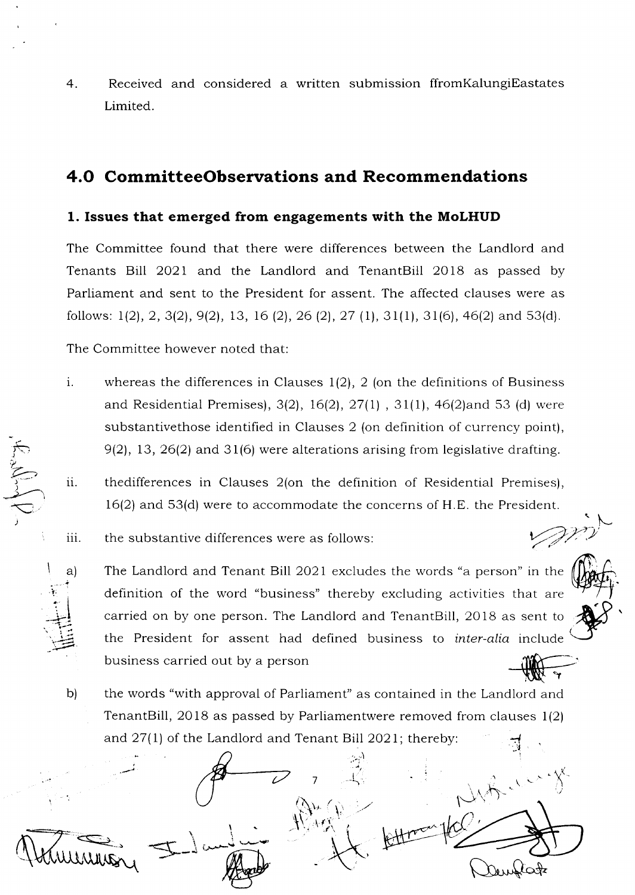$4.$ Received and considered a written submission ffrom Kalungi Eastates Limited.

# 4.0 CommitteeObservations and Recommendations

## 1. Issues that emerged from engagements with the MoLHUD

The Committee found that there were differences between the Landlord and Tenants Bill 2021 and the Landlord and TenantBill 2018 as passed by Parliament and sent to the President for assent. The affected clauses were as follows:  $1(2)$ , 2, 3(2), 9(2), 13, 16(2), 26(2), 27(1), 31(1), 31(6), 46(2) and 53(d).

The Committee however noted that:

ResNing

a)

b)

- i. whereas the differences in Clauses  $1(2)$ , 2 (on the definitions of Business and Residential Premises), 3(2), 16(2), 27(1), 31(1), 46(2) and 53 (d) were substantivethose identified in Clauses 2 (on definition of currency point),  $9(2)$ , 13, 26(2) and 31(6) were alterations arising from legislative drafting.
- ii. thedifferences in Clauses 2(on the definition of Residential Premises),  $16(2)$  and 53(d) were to accommodate the concerns of H.E. the President.

iii. the substantive differences were as follows:

The Landlord and Tenant Bill 2021 excludes the words "a person" in the definition of the word "business" thereby excluding activities that are carried on by one person. The Landlord and TenantBill, 2018 as sent to the President for assent had defined business to *inter-alia* include business carried out by a person

W.

the words "with approval of Parliament" as contained in the Landlord and TenantBill, 2018 as passed by Parliamentwere removed from clauses 1(2) and 27(1) of the Landlord and Tenant Bill 2021; thereby:

While Attr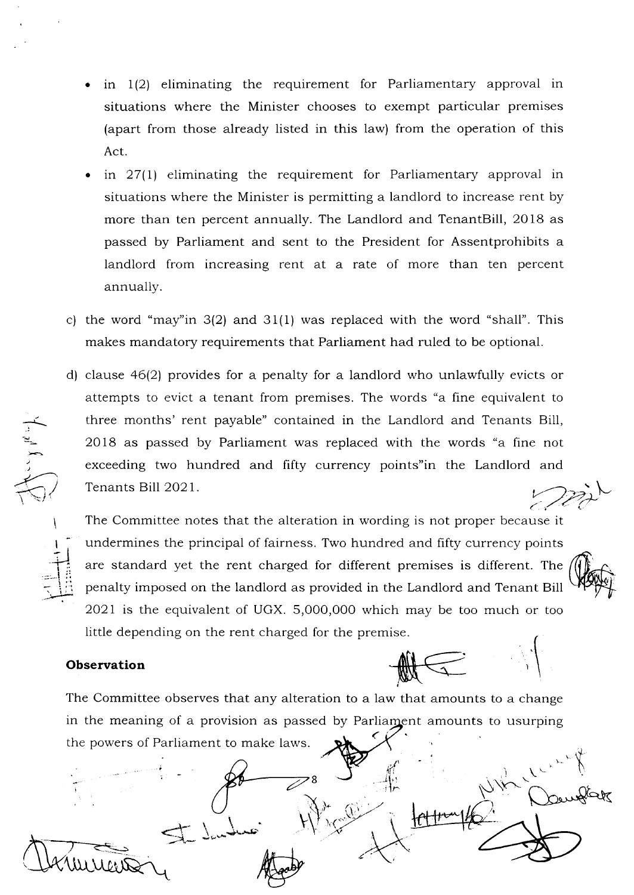- a in l(21 eliminating the requirement for Parliamentary approval in situations where the Minister chooses to exempt particular premises (apart from those already listed in this law) from the operation of this Act.
- a in 27(l) eliminating the requirement for Parliamentary approval in situations where the Minister is permitting a landlord to increase rent by more than ten percent annually. The Landlord and TenantBill,2018 as passed by Parliament and sent to the President for Assentprohibits a landlord from increasing rent at a rate of more than ten percent annually.
- c) the word "may" in  $3(2)$  and  $31(1)$  was replaced with the word "shall". This makes mandatory requirements that Parliament had ruled to be optional.
- d) clause  $46(2)$  provides for a penalty for a landlord who unlawfully evicts or attempts to evict a tenant from premises. The words "a fine equivalent to three months' rent payable" contained in the Landlord and Tenants Bill, 2Ol8 as passed by Parliament was replaced with the words "a fine not exceeding two hundred and fifty currency points"in the Landlord and Tenants Bill 2021. and  $\mathbb{Z}^{\geq N}$

The Committee notes that the alteration in wording is not proper because it undermines the principal of fairness. Two hundred and fifty currency points are standard yet the rent charged for different premises is different. The penalty imposed on the landlord as provided in the Landlord and Tenant Bill 2O2L is the equivalent of UGX. 5,000,000 which may be too much or too little depending on the rent charged for the premise

### **Observation**

The Committee observes that any alteration to a law that amounts to a change in the meaning of a provision as passed by Parliament amounts to usurping the powers of Parliament to make laws. .<br><

 $-$ 

I  $\frac{1}{1}$  $=$   $\frac{1}{2}$  $\zeta$  iii

 $\bigoplus_{i=1}^n \underbrace{\bigoplus_{i=1}^n}$ 

 $\mathcal{G}^{\ell}$  , 5l i  $\begin{array}{ccc} 8 & \longrightarrow & \uparrow \uparrow \\ \downarrow \uparrow \downarrow \end{array}$ ,.1  $\mathcal{L}$ L. 1,  $\pm$  budies  $\pm$ I  $\mathcal{N}$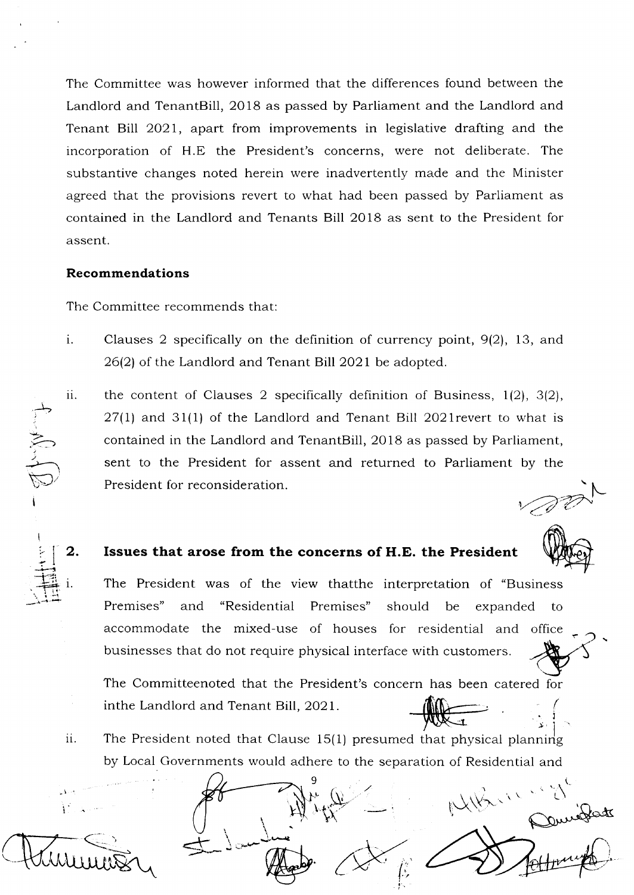The Committee was however informed that the differences found between the Landlord and TenantBill, 2OI8 as passed by Parliament and the Landlord and Tenant Bill 2021, apart from improvements in legislative drafting and the incorporation of H.E the President's concerns, were not deliberate. The substantive changes noted herein were inadvertently made and the Minister agreed that the provisions revert to what had been passed by Parliament as contained in the Landlord and Tenants Bill 2Ol8 as sent to the President for assent.

#### Recommendations

The Committee recommends that:

- $i$ . Clauses 2 specifically on the definition of currency point, 9(2), 13, and 26(2) of the Landlord and Tenant Bill 2O2I be adopted.
- the content of Clauses 2 specifically definition of Business,  $1(2)$ ,  $3(2)$ ,  $27(1)$  and  $31(1)$  of the Landlord and Tenant Bill 2021 revert to what is contained in the Landlord and TenantBill, 2018 as passed by Parliament, sent to the President for assent and returned to Parliament by the President for reconsideration. ii.

 $\hat{C}$ I ll2. <! +{ .--+'lz . H 1.

1-\* i

:<br>.<br>.<br>.<br>.

 $\leftarrow$ 

# Issues that arose from the concerns of H.E. the President

The President was of the view thatthe interpretation of "Business Premises" and "Residential Premises" should be expanded to accommodate the mixed-use of houses for residential and office businesses that do not require physical interface with customers

l'.-

 $\mathcal{A}$ ('

deeper

 $\mathcal{C}^{\times}$  .

 $\mathbb{R}^{1\times n}$ 

The Committeenoted that the President's concern has been catered for inthe Landlord and Tenant Bill, 2O2I.  $\begin{picture}(180,10) \put(0,0){\line(1,0){15}} \put(10,0){\line(1,0){15}} \put(10,0){\line(1,0){15}} \put(10,0){\line(1,0){15}} \put(10,0){\line(1,0){15}} \put(10,0){\line(1,0){15}} \put(10,0){\line(1,0){15}} \put(10,0){\line(1,0){15}} \put(10,0){\line(1,0){15}} \put(10,0){\line(1,0){15}} \put(10,0){\line(1,0){15}} \put(10,0){\line($ 

The President noted that Clause 15(1) presumed that physical planning by Local Governments would adhere to the separation of Residential and ii.

9

 $\hat{t}$ : i.

 $\setminus$ 

I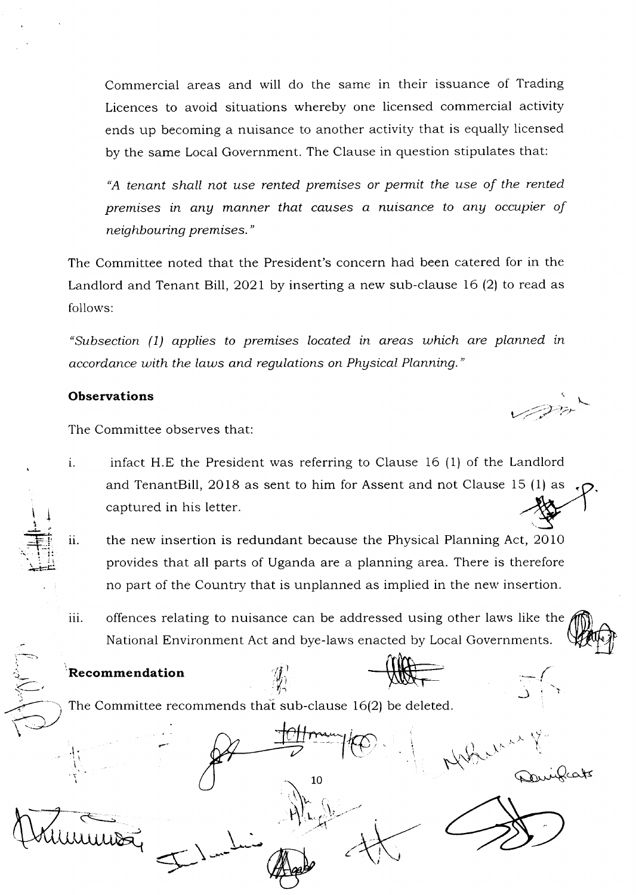Commercial areas and will do the same in their issuance of Trading Licences to avoid situations whereby one licensed commercial activity ends up becoming a nuisance to another activity that is equally licensed by the same Local Government. The Clause in question stipulates that:

"A tenant shall not use rented premises or permit the use of the rented premises in any manner that causes a nuisance to any occupier of neighbouring premises."

The Committee noted that the President's concern had been catered for in the Landlord and Tenant Bill, 2021 by inserting a new sub-clause 16 (2) to read as follows:

"subsection (1) applies to premises located in areas which are planned in accordance with the laws and regulations on Physical Planning."

# **Observations**  $\qquad \qquad \qquad \qquad \qquad \qquad$

 $\frac{1}{2}$ I

 $=\!\!\!\!\equiv$  $\cdot$  ii. لتفتيلا

 $\leq$ 

I

;=

The Committee observes that:

infact H.E the President was referring to Clause 16 (1) of the Landlord i. and TenantBill, 2Ol8 as sent to him for Assent and not Clause 15 (1) as ( captured in his letter

v-)'4''::;'t

I

J

- the new insertion is redundant because the Physical Planning Act, 2O10 provides that all parts of Uganda are a planning area. There is therefore no part of the Country that is unplanned as implied in the new insertion. 11.
- offences relating to nuisance can be addressed using other laws like the National Environment Act and bye-laws enacted by Local Governments. Water iii.

'Recommendation

The Committee recommends that sub-clause  $16(2)$  be deleted.

 $\gamma$ 

@ r^. 7 - Khil t  $\mathbb{R}$  and  $\mathbb{R}$  if  $\mathbb{R}$  if  $\mathbb{R}$  if  $\mathbb{R}$  if  $\mathbb{R}$  if  $\mathbb{R}$  if  $\mathbb{R}$  if  $\mathbb{R}$  if  $\mathbb{R}$  if  $\mathbb{R}$  if  $\mathbb{R}$  if  $\mathbb{R}$  if  $\mathbb{R}$  if  $\mathbb{R}$  if  $\mathbb{R}$  if  $\mathbb{R}$  if  $\mathbb{R}$  if  $\mathbb$  $10$  $\frac{1}{\sqrt{2}}$  $\leq$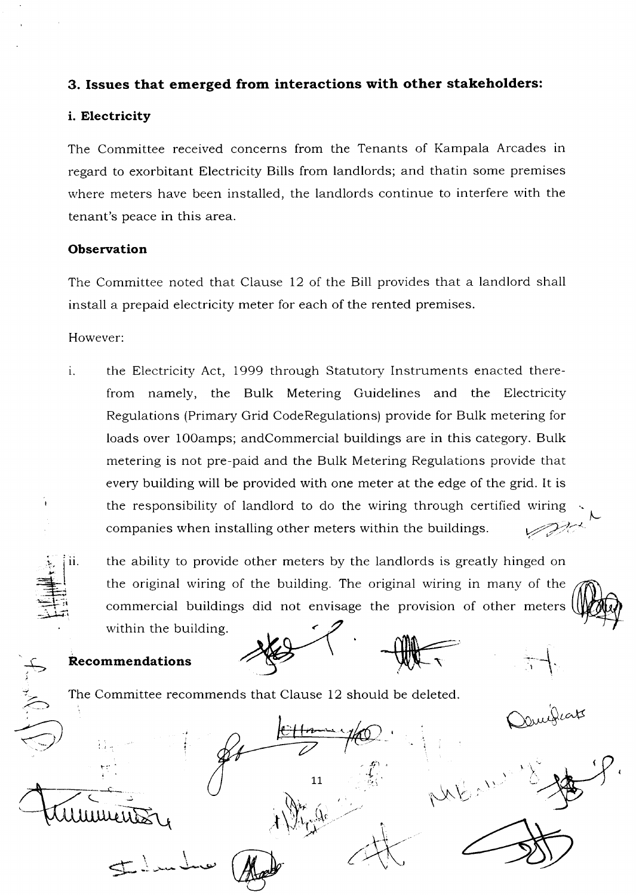# 3. Issues that emerged from interactions with other stakeholders:

## i. Electricity

The Committee received concerns from the Tenants of Kampala Arcades in regard to exorbitant Electricity Bills from landlords; and thatin some premises where meters have been installed, the landlords continue to interfere with the tenant's peace in this area.

### **Observation**

The Committee noted that Clause 12 of the Bill provides that a landlord shall install a prepaid electricity meter for each of the rented premises.

However

the Electricity Act, 1999 through Statutory Instruments enacted therefrom namely, the Bulk Metering Guidelines and the Electricity Regulations (Primary Grid CodeRegulations) provide for Bulk metering for loads over 100 amps; and Commercial buildings are in this category. Bulk metering is not pre-paid and the Bulk Metering Regulations provide that every building will be provided with one meter at the edge of the grid. It is the responsibility of landlord to do the wiring through certified wiring companies when installing other meters within the buildings. 1.

:<br>.<br>. ii. :-{  $\equiv$ , I +r  $\equiv$ 

ل<br>مبر )

 $\widehat{\Leftarrow}$ 

the ability to provide other meters by the landlords is greatly hinged on the original wiring of the building. The original wiring in many of the commercial buildings did not envisage the provision of other meters within the building.

 $\overline{\phantom{a}}$ 

 $\sim$ 

(

 $\frac{1}{2}$  that

Quigias

Recommendations

The Committee recommends that Clause 12 should be deleted

 $\leftarrow$  $\hat t_i$  $\,{}^{\!\lambda}$  $\frac{11}{\sqrt{2}}$  in  $\sqrt{\frac{1}{2}}$  $\zeta$  (  $\zeta$  )  $\zeta$  )  $\zeta$  ( $\zeta$  )  $\zeta$  )  $\zeta$  )  $\zeta$  )  $\zeta$  )  $\zeta$  )  $\zeta$  )  $\zeta$  )  $\zeta$  )  $\zeta$  )  $\zeta$  )  $\zeta$  )  $\zeta$  )  $\zeta$  )  $\zeta$  )  $\zeta$  )  $\zeta$  )  $\zeta$  )  $\zeta$  )  $\zeta$  )  $\zeta$  )  $\zeta$  )  $\zeta$  )  $\zeta$   $\sqrt{\frac{1}{2}}$ umeus  $\boldsymbol{\mathcal{A}}$ \ 5 يجمعك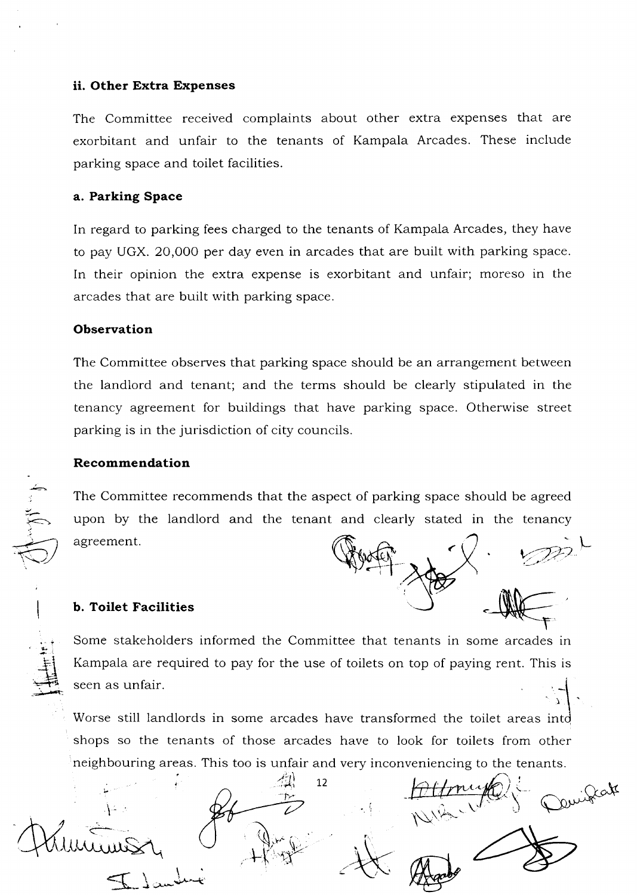#### ii. Other Extra Expenses

The Committee received complaints about other extra expenses that are exorbitant and unfair to the tenants of Kampala Arcades. These include parking space and toilet facilities.

#### a. Parking Space

In regard to parking fees charged to the tenants of Kampala Arcades, they have to pay UGX. 20,000 per day even in arcades that are built with parking space. In their opinion the extra expense is exorbitant and unfair; moreso in the arcades that are built with parking space.

#### **Observation**

The Committee observes that parking space should be an arrangement between the landlord and tenant; and the terms should be clearly stipulated in the tenancy agreement for buildings that have parking space. Otherwise street parking is in the jurisdiction of city councils.

#### Recommendation

n

 $\cdot$  : 直 The Committee recommends that the aspect of parking space should be agreed upon by the landlord and the tenant and clearly stated in the tenancy agreement

#### b. Toilet Facilities



i\

Some stakeholders informed the Committee that tenants in some arcades in Kampala are required to pay for the use of toilets on top of paying rent. This is seen as unfair.

Worse still landlords in some arcades have transformed the toilet areas intd shops so the tenants of those arcades have to look for toilets from other neighbouring areas. This too is unfair and very inconveniencing to the tenants.

12  $\zeta_{-}$ Jeak \*la  $\mathscr{L}$  $\mathbb{N}$ is <-.  $\mathbb{R}^N\mathbb{R}$  $\frac{1}{2}$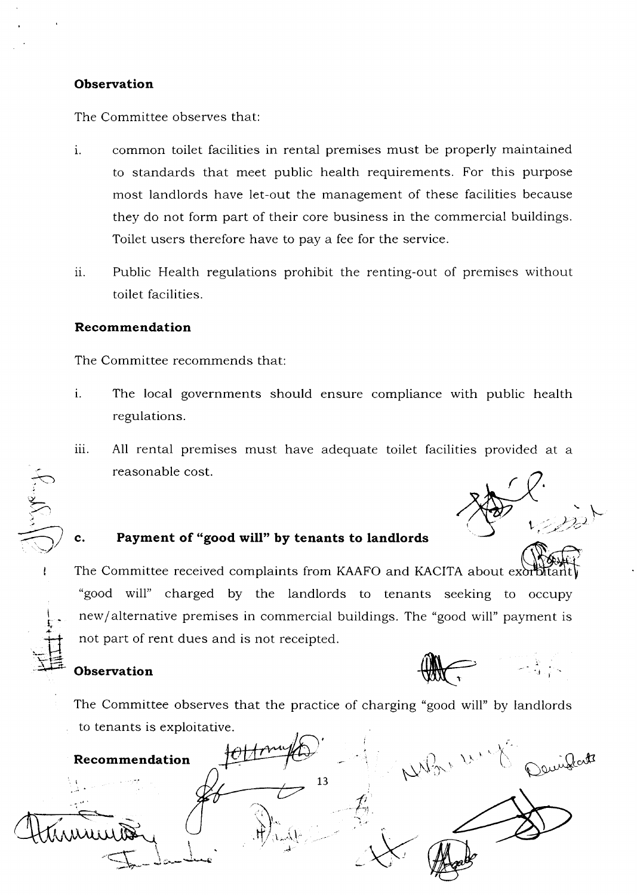#### **Observation**

The Committee observes that:

- common toilet facilities in rental premises must be properly maintained to standards that meet public health requirements. For this purpose most landlords have let-out the management of these facilities because they do not form part of their core business in the commercial buildings. Toilet users therefore have to pay a fee for the service. 1.
- Public Health regulations prohibit the renting-out of premises without toilet facilities. ii.

#### Recommendation

The Committee recommends that:

- The local governments should ensure compliance with public health regulations. 1.
- All rental premises must have adequate toilet facilities provided at <sup>a</sup> reasonable cost. iii.

 $1/2$ . - 1=.,/

t. I

 $\overline{\mathcal{F}}$ 

ن

 $\sum_{i=1}^n$ 

,)

,)

 $\frac{1}{\sqrt{2}}$ 

## c. Payment of "good will" by tenants to landlords

 $\bigoplus$ The Committee received complaints from KAAFO and KACITA about excribitar "good will" charged by the landlords to tenants seeking to occupy new/alternative premises in commercial buildings. The "good will" payment is not part of rent dues and is not receipted.

## **Observation**

The Committee observes that the practice of charging "good will" by landlords to tenants is exploitative.

 $\mathbf{v}$  $\gamma_{\rm 4} \gamma_{\rm 2} \sim \gamma_{\rm 4} \sim$ x Recommendation L3 {  $\alpha$ <sup>-t</sup>  $\overline{t}$ **AXXX** t''-.1\  $\overline{\mathbb{C}}$  $\lambda$  $-$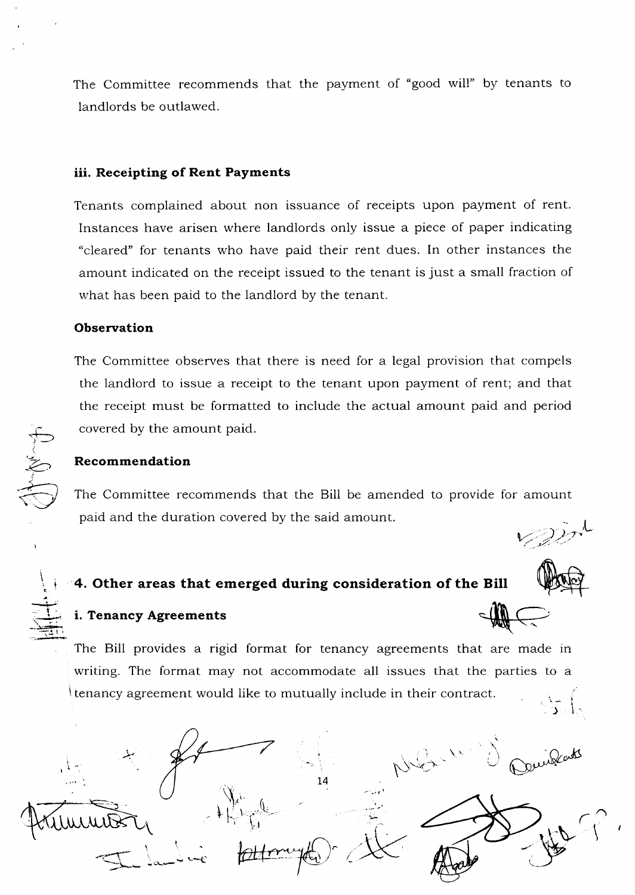The Committee recommends that the payment of "good will" by tenants to landlords be outlawed.

#### iii. Receipting of Rent Payments

Tenants complained about non issuance of receipts upon payment of rent. Instances have arisen where landlords only issue a piece of paper indicating "cleared" for tenants who have paid their rent dues. In other instances the amount indicated on the receipt issued to the tenant is just a small fraction of what has been paid to the landlord by the tenant.

#### **Observation**

The Committee observes that there is need for a legal provision that compels the landlord to issue a receipt to the tenant upon payment of rent; and that the receipt must be formatted to include the actual amount paid and period covered by the amount paid.

#### Recommendation

The Committee recommends that the Bill be amended to provide for amount paid and the duration covered by the said amount.

\ .t  $\equiv$ 

I t!

# 4. Other areas that emerged during consideration of the Bill

 $\mathcal{F}$  is the subsequent of  $\mathcal{F}$ 

 $\widetilde{\mathsf{X}}$  .

 $\vdash$ 

\.

 $\hat{\theta}$ 



 $\setminus$ 

 $\mathbb{R}$  If  $\leftarrow \mathbb{R}$  If

.;l  $\mathcal{P}_{\mathcal{A}}$ 

# i. Tenancy Agreements

\*

-,\_il /..b\*-

The Bill provides a rigid format for tenancy agreements that are made in writing. The format may not accommodate all issues that the parties to <sup>a</sup> Itenancy agreement would like to mutually include in their contract.  $\mathfrak{z} \}$ 

 $14$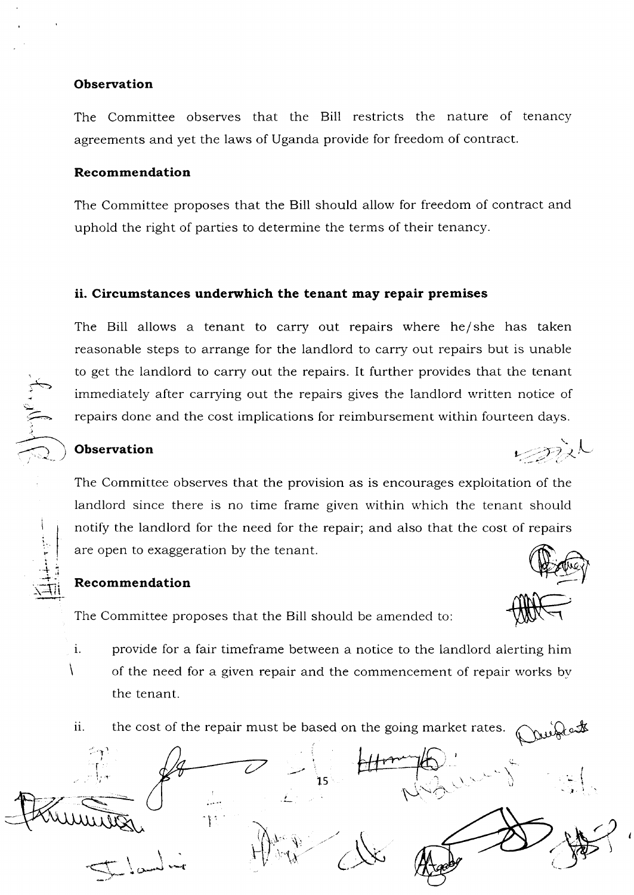#### **Observation**

The Committee observes that the Bill restricts the nature of tenancy agreements and yet the laws of Uganda provide for freedom of contract.

#### Recommendation

The Committee proposes that the Bill should allow for freedom of contract and uphold the right of parties to determine the terms of their tenancy.

#### ii. Circumstances underwhich the tenant may repair premises

The Bill allows a tenant to carry out repairs where he/she has taken reasonable steps to arrange for the landlord to carry out repairs but is unable to get the landlord to carry out the repairs. It further provides that the tenant immediately after carrying out the repairs gives the landlord written notice of repairs done and the cost implications for reimbursement within fourteen days.

## Observation

i:

I  $\overline{\bigoplus}$ 

I

i :

> I r

> > \

 $\mathbf{i}$ .

+

حب

The Committee observes that the provision as is encourages exploitation of the landlord since there is no time frame given within which the tenant should notify the landlord for the need for the repair; and also that the cost of repairs are open to exaggeration by the tenant

#### Recommendation

The Committee proposes that the Bill should be amended to:

- provide for a fair timeframe between a notice to the landlord alerting him of the need for a given repair and the commencement of repair works bv the tenant.
- ii. the cost of the repair must be based on the going market rates

I t **!** i  $\ddot{\mathbf{c}}$ 1s  $\mathcal{L}_{\mathbf{a}}$ /-1+rj  $\oslash$ -l '1 I r: t.

 $\ddot{\phantom{0}}$  $\mathscr{D}^{\lambda}$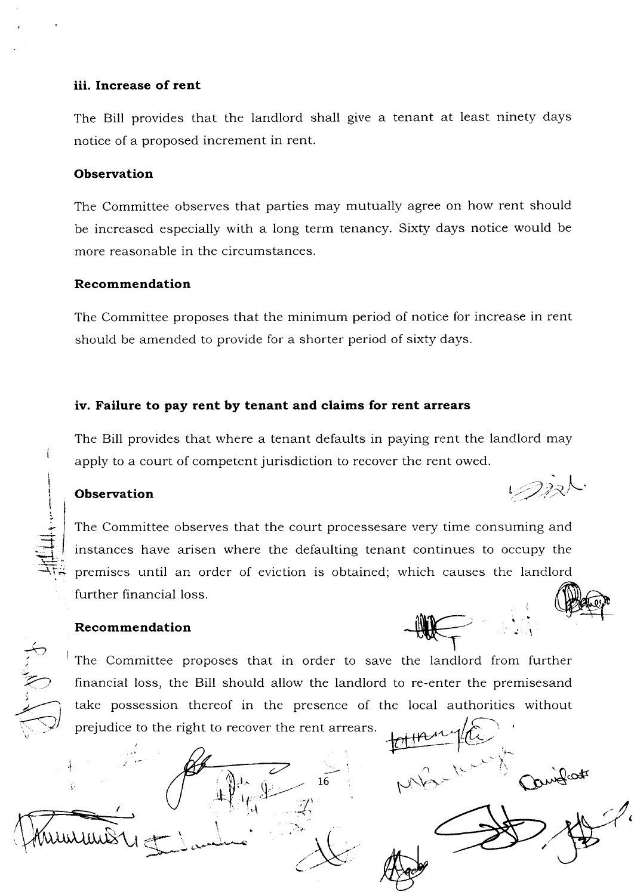## iii. Increase of rent

The Bill provides that the landlord shall give a tenant at least ninety days notice of a proposed increment in rent.

#### **Observation**

The Committee observes that parties may mutually agree on how rent should be increased especially with a long term tenancy. Sixty days notice would be more reasonable in the circumstances.

### Recommendation

The Committee proposes that the minimum period of notice for increase in rent should be amended to provide for a shorter period of sixty days.

### iv. Failure to pay rent by tenant and claims for rent arrears

The Bill provides that where a tenant defaults in paying rent the landlord may apply to a court of competent jurisdiction to recover the rent owed.

i

I I I

 $\overline{a}$  $\exists$ :J

 $\leftrightarrow$ 

i 't

٢, با<br>,<br>, (  $\sum_{i=1}^{n}$  The Committee observes that the court processesare very time consuming and instances have arisen where the defaulting tenant continues to occupy the premises until an order of eviction is obtained; which causes the landlord further financial loss.<br>Recommendation Company

## Recommendation

'rrr '' \*\*\*-

 $\mathbb Q$  $\pm \hbar$ il,\*

1

 $\mathcal{L}$  ) where  $\mathcal{L}$ 

 $\lambda$  $t-\Delta$ 

I

The Committee proposes that in order to save the landlord from further financial loss, the Bill should allow the landlord to re-enter the premisesand take possession thereof in the presence of the local authorities without prejudice to the right to recover the rent arrears

16 MB

 $\triangle$ 

'l **Observation** the set of  $\mathcal{L}(\mathcal{D}\mathbb{R})$